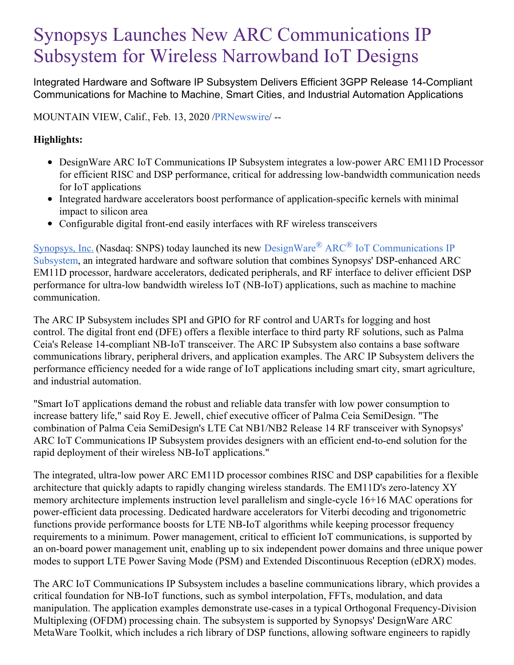# Synopsys Launches New ARC Communications IP Subsystem for Wireless Narrowband IoT Designs

Integrated Hardware and Software IP Subsystem Delivers Efficient 3GPP Release 14-Compliant Communications for Machine to Machine, Smart Cities, and Industrial Automation Applications

MOUNTAIN VIEW, Calif., Feb. 13, 2020 [/PRNewswire](http://www.prnewswire.com/)/ --

## **Highlights:**

- DesignWare ARC IoT Communications IP Subsystem integrates a low-power ARC EM11D Processor for efficient RISC and DSP performance, critical for addressing low-bandwidth communication needs for IoT applications
- Integrated hardware accelerators boost performance of application-specific kernels with minimal impact to silicon area
- Configurable digital front-end easily interfaces with RF wireless transceivers

[Synopsys,](https://c212.net/c/link/?t=0&l=en&o=2719373-1&h=4130600195&u=https%3A%2F%2Fwww.synopsys.com%2F&a=Synopsys%2C+Inc.) Inc. (Nasdaq: SNPS) today launched its new DesignWare<sup>®</sup> ARC<sup>®</sup> IoT [Communications](https://c212.net/c/link/?t=0&l=en&o=2719373-1&h=1352187713&u=https%3A%2F%2Fwww.synopsys.com%2Fdw%2Fipdir.php%3Fds%3Diot-comms-subsystem&a=DesignWare%C2%AE+ARC%C2%AE+IoT+Communications+IP+Subsystem) IP Subsystem, an integrated hardware and software solution that combines Synopsys' DSP-enhanced ARC EM11D processor, hardware accelerators, dedicated peripherals, and RF interface to deliver efficient DSP performance for ultra-low bandwidth wireless IoT (NB-IoT) applications, such as machine to machine communication.

The ARC IP Subsystem includes SPI and GPIO for RF control and UARTs for logging and host control. The digital front end (DFE) offers a flexible interface to third party RF solutions, such as Palma Ceia's Release 14-compliant NB-IoT transceiver. The ARC IP Subsystem also contains a base software communications library, peripheral drivers, and application examples. The ARC IP Subsystem delivers the performance efficiency needed for a wide range of IoT applications including smart city, smart agriculture, and industrial automation.

"Smart IoT applications demand the robust and reliable data transfer with low power consumption to increase battery life," said Roy E. Jewell, chief executive officer of Palma Ceia SemiDesign. "The combination of Palma Ceia SemiDesign's LTE Cat NB1/NB2 Release 14 RF transceiver with Synopsys' ARC IoT Communications IP Subsystem provides designers with an efficient end-to-end solution for the rapid deployment of their wireless NB-IoT applications."

The integrated, ultra-low power ARC EM11D processor combines RISC and DSP capabilities for a flexible architecture that quickly adapts to rapidly changing wireless standards. The EM11D's zero-latency XY memory architecture implements instruction level parallelism and single-cycle 16+16 MAC operations for power-efficient data processing. Dedicated hardware accelerators for Viterbi decoding and trigonometric functions provide performance boosts for LTE NB-IoT algorithms while keeping processor frequency requirements to a minimum. Power management, critical to efficient IoT communications, is supported by an on-board power management unit, enabling up to six independent power domains and three unique power modes to support LTE Power Saving Mode (PSM) and Extended Discontinuous Reception (eDRX) modes.

The ARC IoT Communications IP Subsystem includes a baseline communications library, which provides a critical foundation for NB-IoT functions, such as symbol interpolation, FFTs, modulation, and data manipulation. The application examples demonstrate use-cases in a typical Orthogonal Frequency-Division Multiplexing (OFDM) processing chain. The subsystem is supported by Synopsys' DesignWare ARC MetaWare Toolkit, which includes a rich library of DSP functions, allowing software engineers to rapidly